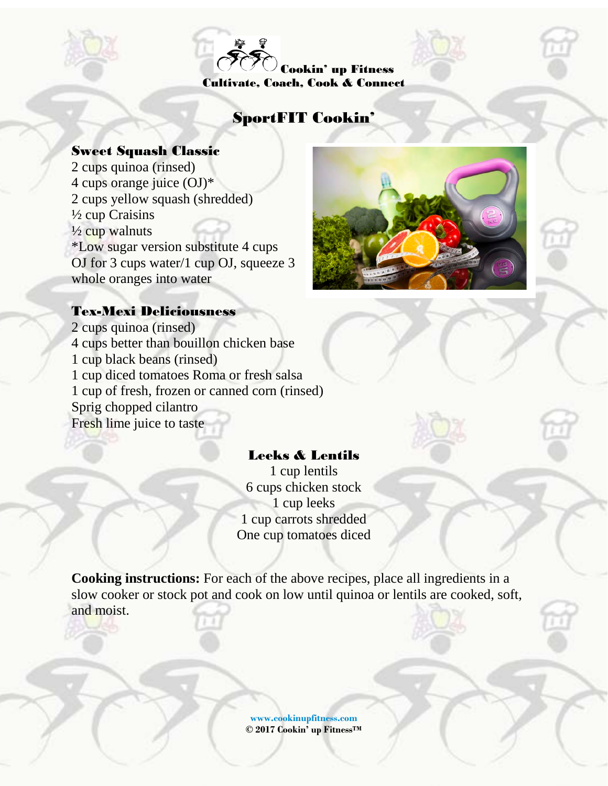Cookin' up Fitness Cultivate, Coach, Cook & Connect

# SportFIT Cookin'

#### Sweet Squash Classic

2 cups quinoa (rinsed) 4 cups orange juice (OJ)\* 2 cups yellow squash (shredded) ½ cup Craisins  $\frac{1}{2}$  cup walnuts \*Low sugar version substitute 4 cups OJ for 3 cups water/1 cup OJ, squeeze 3 whole oranges into water



#### Tex-Mexi Deliciousness

2 cups quinoa (rinsed) 4 cups better than bouillon chicken base 1 cup black beans (rinsed) 1 cup diced tomatoes Roma or fresh salsa 1 cup of fresh, frozen or canned corn (rinsed) Sprig chopped cilantro Fresh lime juice to taste

# Leeks & Lentils

1 cup lentils 6 cups chicken stock 1 cup leeks 1 cup carrots shredded One cup tomatoes diced

**Cooking instructions:** For each of the above recipes, place all ingredients in a slow cooker or stock pot and cook on low until quinoa or lentils are cooked, soft, and moist.

> **[www.cookinupfitness.com](http://www.cookinupfitness.com/) © 2017 Cookin' up FitnessTM**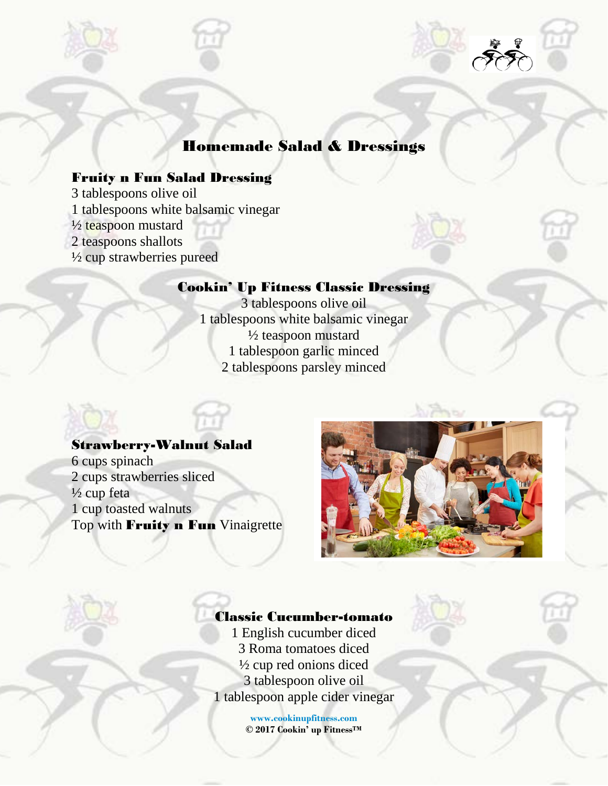

# Homemade Salad & Dressings

### Fruity n Fun Salad Dressing

3 tablespoons olive oil

1 tablespoons white balsamic vinegar

 $\frac{1}{2}$  teaspoon mustard

2 teaspoons shallots

½ cup strawberries pureed

#### Cookin' Up Fitness Classic Dressing

3 tablespoons olive oil 1 tablespoons white balsamic vinegar ½ teaspoon mustard 1 tablespoon garlic minced 2 tablespoons parsley minced

#### Strawberry-Walnut Salad

6 cups spinach 2 cups strawberries sliced  $\frac{1}{2}$  cup feta 1 cup toasted walnuts Top with **Fruity n Fun** Vinaigrette



### Classic Cucumber-tomato

1 English cucumber diced 3 Roma tomatoes diced ½ cup red onions diced 3 tablespoon olive oil 1 tablespoon apple cider vinegar

> **[www.cookinupfitness.com](http://www.cookinupfitness.com/) © 2017 Cookin' up FitnessTM**